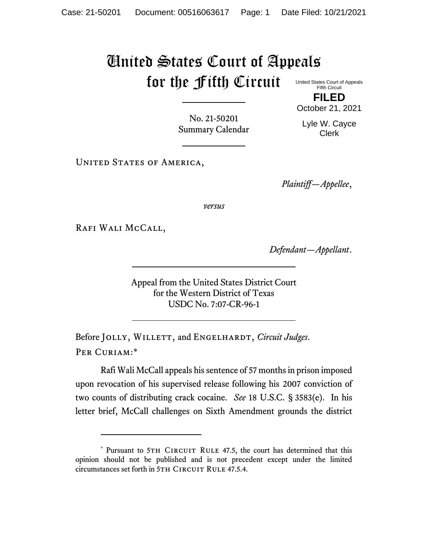## United States Court of Appeals for the Fifth Circuit United States Court of Appeals

Fifth Circuit **FILED**

No. 21-50201 Summary Calendar October 21, 2021

Lyle W. Cayce Clerk

UNITED STATES OF AMERICA,

*Plaintiff—Appellee*,

*versus*

Rafi Wali McCall,

*Defendant—Appellant*.

Appeal from the United States District Court for the Western District of Texas USDC No. 7:07-CR-96-1

Before JOLLY, WILLETT, and ENGELHARDT, *Circuit Judges*. Per Curiam:\*

Rafi Wali McCall appeals his sentence of 57 months in prison imposed upon revocation of his supervised release following his 2007 conviction of two counts of distributing crack cocaine. *See* 18 U.S.C. § 3583(e). In his letter brief, McCall challenges on Sixth Amendment grounds the district

<sup>\*</sup> Pursuant to 5TH CIRCUIT RULE 47.5, the court has determined that this opinion should not be published and is not precedent except under the limited circumstances set forth in 5TH CIRCUIT RULE 47.5.4.